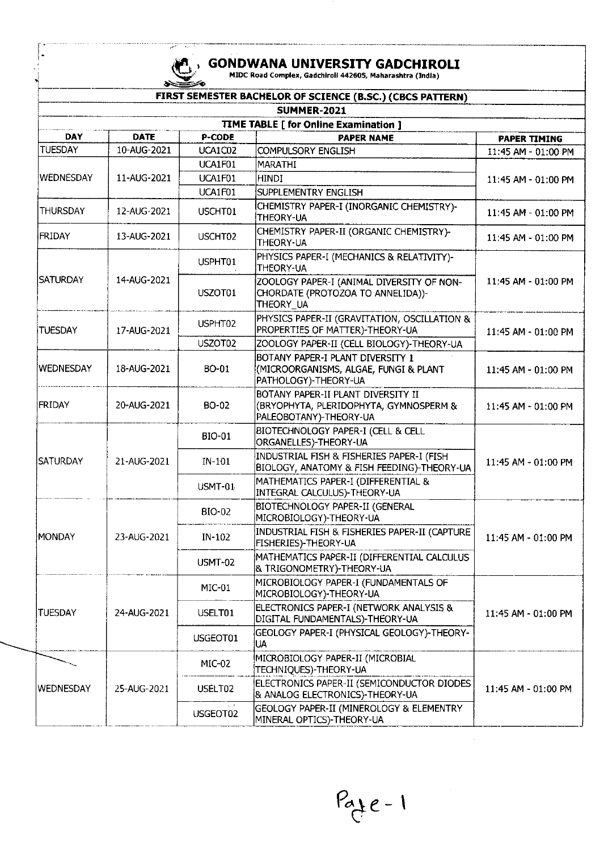$\vert \cdot$ 

# **., GONDWANA UNIVERSITY GADCHIROLI**<br>
MIDC Road Complex, Gadchiroll 442605, Maharashtra (India)

|                    |             |               | FIRST SEMESTER BACHELOR OF SCIENCE (B.SC.) (CBCS PATTERN)                                              |                     |
|--------------------|-------------|---------------|--------------------------------------------------------------------------------------------------------|---------------------|
| <b>SUMMER-2021</b> |             |               |                                                                                                        |                     |
|                    |             |               | TIME TABLE [ for Online Examination ]                                                                  |                     |
| DAY                | <b>DATE</b> | P-CODE        | <b>PAPER NAME</b>                                                                                      | <b>PAPER TIMING</b> |
| <b>TUESDAY</b>     | 10-AUG-2021 | UCA1C02       | <b>COMPULSORY ENGLISH</b>                                                                              | 11:45 AM - 01:00 PM |
|                    |             | UCA1F01       | MARATHI                                                                                                | 11:45 AM - 01:00 PM |
| WEDNESDAY          | 11-AUG-2021 | UCA1F01       | HINDI                                                                                                  |                     |
|                    |             | UCA1F01       | SUPPLEMENTRY ENGLISH                                                                                   |                     |
| <b>THURSDAY</b>    | 12-AUG-2021 | USCHT01       | CHEMISTRY PAPER-I (INORGANIC CHEMISTRY)-<br>THEORY-UA                                                  | 11:45 AM - 01:00 PM |
| <b>FRIDAY</b>      | 13-AUG-2021 | USCHT02       | CHEMISTRY PAPER-II (ORGANIC CHEMISTRY)-<br>THEORY-UA                                                   | 11:45 AM - 01:00 PM |
|                    |             | USPHT01       | PHYSICS PAPER-I (MECHANICS & RELATIVITY)-<br>THEORY-UA                                                 | 11:45 AM - 01:00 PM |
| <b>SATURDAY</b>    | 14-AUG-2021 | USZOT01       | ZOOLOGY PAPER-I (ANIMAL DIVERSITY OF NON-<br>CHORDATE (PROTOZOA TO ANNELIDA))-<br>THEORY_UA            |                     |
| <b>TUESDAY</b>     | 17-AUG-2021 | USPHT02       | PHYSICS PAPER-II (GRAVITATION, OSCILLATION &<br>PROPERTIES OF MATTER)-THEORY-UA                        | 11:45 AM - 01:00 PM |
|                    |             | USZOT02       | ZOOLOGY PAPER-II (CELL BIOLOGY)-THEORY-UA                                                              |                     |
| <b>WEDNESDAY</b>   | 18-AUG-2021 | BO-01         | BOTANY PAPER-I PLANT DIVERSITY 1<br>(MICROORGANISMS, ALGAE, FUNGI & PLANT<br>PATHOLOGY)-THEORY-UA      | 11:45 AM - 01:00 PM |
| <b>FRIDAY</b>      | 20-AUG-2021 | BO-02         | BOTANY PAPER-II PLANT DIVERSITY II<br>(BRYOPHYTA, PLERIDOPHYTA, GYMNOSPERM &<br>PALEOBOTANY)-THEORY-UA | 11:45 AM - 01:00 PM |
|                    | 21-AUG-2021 | BIO-01        | BIOTECHNOLOGY PAPER-I (CELL & CELL<br>ORGANELLES)-THEORY-UA                                            | 11:45 AM - 01:00 PM |
| ISATURDAY          |             | $IN-101$      | INDUSTRIAL FISH & FISHERIES PAPER-I (FISH<br>BIOLOGY, ANATOMY & FISH FEEDING)-THEORY-UA                |                     |
|                    |             | USMT-01       | MATHEMATICS PAPER-I (DIFFERENTIAL &<br>INTEGRAL CALCULUS)-THEORY-UA                                    |                     |
|                    | 23-AUG-2021 | <b>BIO-02</b> | BIOTECHNOLOGY PAPER-II (GENERAL<br>MICROBIOLOGY)-THEORY-UA                                             | 11:45 AM - 01:00 PM |
| MONDAY             |             | IN-102        | INDUSTRIAL FISH & FISHERIES PAPER-II (CAPTURE<br>FISHERIES)-THEORY-UA                                  |                     |
|                    |             | USMT-02       | MATHEMATICS PAPER-II (DIFFERENTIAL CALCULUS<br>& TRIGONOMETRY)-THEORY-UA                               |                     |
| <b>TUESDAY</b>     | 24-AUG-2021 | MIC-01        | MICROBIOLOGY PAPER-I (FUNDAMENTALS OF<br>MICROBIOLOGY}-THEORY-UA                                       | 11:45 AM - 01:00 PM |
|                    |             | USELT01       | ELECTRONICS PAPER-I (NETWORK ANALYSIS &<br>DIGITAL FUNDAMENTALS)-THEORY-UA                             |                     |
|                    |             | USGEOT01      | GEOLOGY PAPER-I (PHYSICAL GEOLOGY)-THEORY-<br><b>IUA</b>                                               |                     |
|                    | 25-AUG-2021 | MIC-02        | MICROBIOLOGY PAPER-II (MICROBIAL<br>TECHNIQUES)-THEORY-UA                                              | 11:45 AM - 01:00 PM |
| <b>WEDNESDAY</b>   |             | USELT02       | ELECTRONICS PAPER-II (SEMICONDUCTOR DIODES<br>& ANALOG ELECTRONICS)-THEORY-UA                          |                     |
|                    |             | USGEOT02      | GEOLOGY PAPER-II (MINEROLOGY & ELEMENTRY<br>MINERAL OPTICS)-THEORY-UA                                  |                     |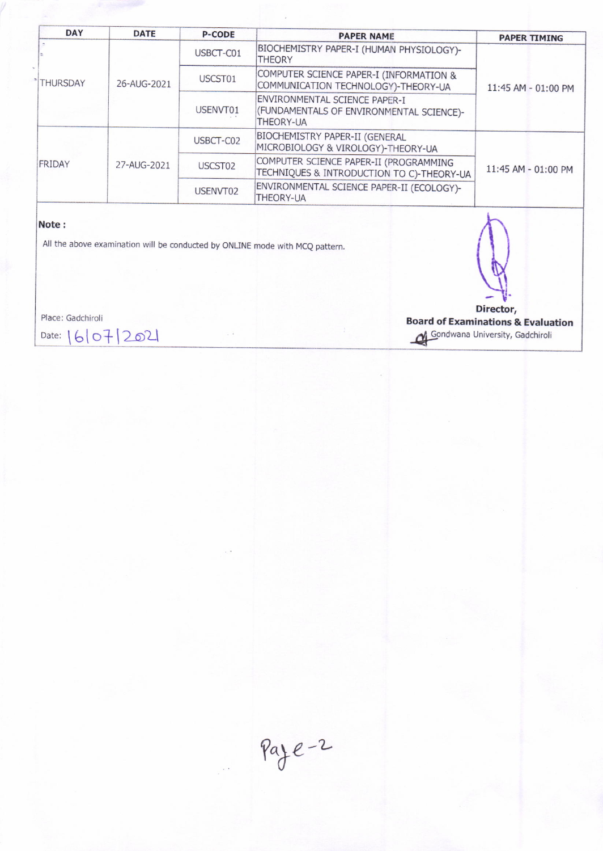| <b>DAY</b>      | <b>DATE</b> | <b>P-CODE</b> | <b>PAPER NAME</b>                                                                             | <b>PAPER TIMING</b> |
|-----------------|-------------|---------------|-----------------------------------------------------------------------------------------------|---------------------|
| <b>THURSDAY</b> | 26-AUG-2021 | USBCT-C01     | BIOCHEMISTRY PAPER-I (HUMAN PHYSIOLOGY)-<br><b>THEORY</b>                                     | 11:45 AM - 01:00 PM |
|                 |             | USCST01       | COMPUTER SCIENCE PAPER-I (INFORMATION &<br>COMMUNICATION TECHNOLOGY)-THEORY-UA                |                     |
|                 |             | USENVT01      | ENVIRONMENTAL SCIENCE PAPER-I<br>(FUNDAMENTALS OF ENVIRONMENTAL SCIENCE)-<br><b>THEORY-UA</b> |                     |
| FRIDAY          | 27-AUG-2021 | USBCT-C02     | <b>BIOCHEMISTRY PAPER-II (GENERAL</b><br>MICROBIOLOGY & VIROLOGY)-THEORY-UA                   | 11:45 AM - 01:00 PM |
|                 |             | USCST02       | COMPUTER SCIENCE PAPER-II (PROGRAMMING<br>TECHNIQUES & INTRODUCTION TO C)-THEORY-UA           |                     |
|                 |             | USENVT02      | ENVIRONMENTAL SCIENCE PAPER-II (ECOLOGY)-<br><b>THEORY-UA</b>                                 |                     |

### Note:

All the above examination will be conducted by ONLINE mode with MCQ pattern.

Place: Gadchiroli

Date:  $1610712021$ 

Director, **Board of Examinations & Evaluation** Gondwana University, Gadchiroli

 $Paye-2$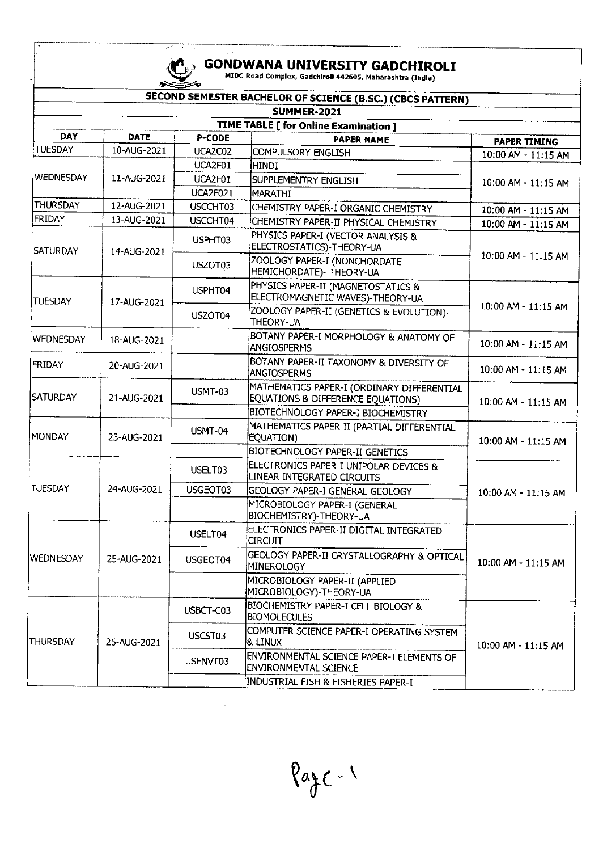# $\mathbb{C}$ ΣŚ

# **GONDWANA UNIVERSITY GADCHIROLI**<br>MIDC Road Complex, Gadchiroli 442605, Maharashtra (India)

|                                       |             |                 | SECOND SEMESTER BACHELOR OF SCIENCE (B.SC.) (CBCS PATTERN)                      |                     |  |
|---------------------------------------|-------------|-----------------|---------------------------------------------------------------------------------|---------------------|--|
| <b>SUMMER-2021</b>                    |             |                 |                                                                                 |                     |  |
| TIME TABLE [ for Online Examination ] |             |                 |                                                                                 |                     |  |
| <b>DAY</b>                            | <b>DATE</b> | P-CODE          | <b>PAPER NAME</b>                                                               | PAPER TIMING        |  |
| <b>TUESDAY</b>                        | 10-AUG-2021 | UCA2C02         | COMPULSORY ENGLISH                                                              | 10:00 AM - 11:15 AM |  |
| <b>WEDNESDAY</b>                      | 11-AUG-2021 | UCA2F01         | <b>HINDI</b>                                                                    | 10:00 AM - 11:15 AM |  |
|                                       |             | UCA2F01         | SUPPLEMENTRY ENGLISH                                                            |                     |  |
|                                       |             | <b>UCA2F021</b> | <b>MARATHI</b>                                                                  |                     |  |
| THURSDAY                              | 12-AUG-2021 | USCCHT03        | CHEMISTRY PAPER-I ORGANIC CHEMISTRY                                             | 10:00 AM - 11:15 AM |  |
| <b>FRIDAY</b>                         | 13-AUG-2021 | USCCHT04        | CHEMISTRY PAPER-II PHYSICAL CHEMISTRY                                           | 10:00 AM - 11:15 AM |  |
| <b>SATURDAY</b>                       | 14-AUG-2021 | USPHT03         | PHYSICS PAPER-I (VECTOR ANALYSIS &<br>ELECTROSTATICS)-THEORY-UA                 | 10:00 AM - 11:15 AM |  |
|                                       |             | USZOT03         | ZOOLOGY PAPER-I (NONCHORDATE -<br>HEMICHORDATE)- THEORY-UA                      |                     |  |
| <b>TUESDAY</b>                        | 17-AUG-2021 | USPHT04         | PHYSICS PAPER-II (MAGNETOSTATICS &<br>ELECTROMAGNETIC WAVES)-THEORY-UA          | 10:00 AM - 11:15 AM |  |
|                                       |             | USZOT04         | ZOOLOGY PAPER-II (GENETICS & EVOLUTION)-<br>THEORY-UA                           |                     |  |
| <b>WEDNESDAY</b>                      | 18-AUG-2021 |                 | BOTANY PAPER-I MORPHOLOGY & ANATOMY OF<br><b>ANGIOSPERMS</b>                    | 10:00 AM - 11:15 AM |  |
| FRIDAY                                | 20-AUG-2021 |                 | BOTANY PAPER-II TAXONOMY & DIVERSITY OF<br>ANGIOSPERMS                          | 10:00 AM - 11:15 AM |  |
| <b>SATURDAY</b>                       | 21-AUG-2021 | USMT-03         | MATHEMATICS PAPER-I (ORDINARY DIFFERENTIAL<br>EQUATIONS & DIFFERENCE EQUATIONS) | 10:00 AM - 11:15 AM |  |
|                                       |             |                 | BIOTECHNOLOGY PAPER-I BIOCHEMISTRY                                              |                     |  |
| <b>MONDAY</b>                         | 23-AUG-2021 | USMT-04         | MATHEMATICS PAPER-II (PARTIAL DIFFERENTIAL<br>EQUATION)                         | 10:00 AM - 11:15 AM |  |
|                                       |             |                 | BIOTECHNOLOGY PAPER-II GENETICS                                                 |                     |  |
|                                       | 24-AUG-2021 | USELT03         | ELECTRONICS PAPER-I UNIPOLAR DEVICES &<br>LINEAR INTEGRATED CIRCUITS            | 10:00 AM - 11:15 AM |  |
| <b>TUESDAY</b>                        |             | USGEOT03        | GEOLOGY PAPER-I GENERAL GEOLOGY                                                 |                     |  |
|                                       |             |                 | MICROBIOLOGY PAPER-I (GENERAL<br>BIOCHEMISTRY)-THEORY-UA                        |                     |  |
| WEDNESDAY                             | 25-AUG-2021 | USELT04         | ELECTRONICS PAPER-II DIGITAL INTEGRATED<br><b>CIRCUIT</b>                       | 10:00 AM - 11:15 AM |  |
|                                       |             | USGEOT04        | GEOLOGY PAPER-II CRYSTALLOGRAPHY & OPTICAL<br>MINEROLOGY                        |                     |  |
|                                       |             |                 | MICROBIOLOGY PAPER-II (APPLIED<br>MICROBIOLOGY)-THEORY-UA                       |                     |  |
| THURSDAY                              | 26-AUG-2021 | USBCT-C03       | BIOCHEMISTRY PAPER-I CELL BIOLOGY &<br><b>BIOMOLECULES</b>                      | 10:00 AM - 11:15 AM |  |
|                                       |             | USCST03         | COMPUTER SCIENCE PAPER-I OPERATING SYSTEM<br>8. LINUX                           |                     |  |
|                                       |             | USENVT03        | ENVIRONMENTAL SCIENCE PAPER-I ELEMENTS OF<br><b>ENVIRONMENTAL SCIENCE</b>       |                     |  |
|                                       |             |                 | Industrial fish & Fisheries Paper-I                                             |                     |  |

 $\hat{\mathcal{A}}$  .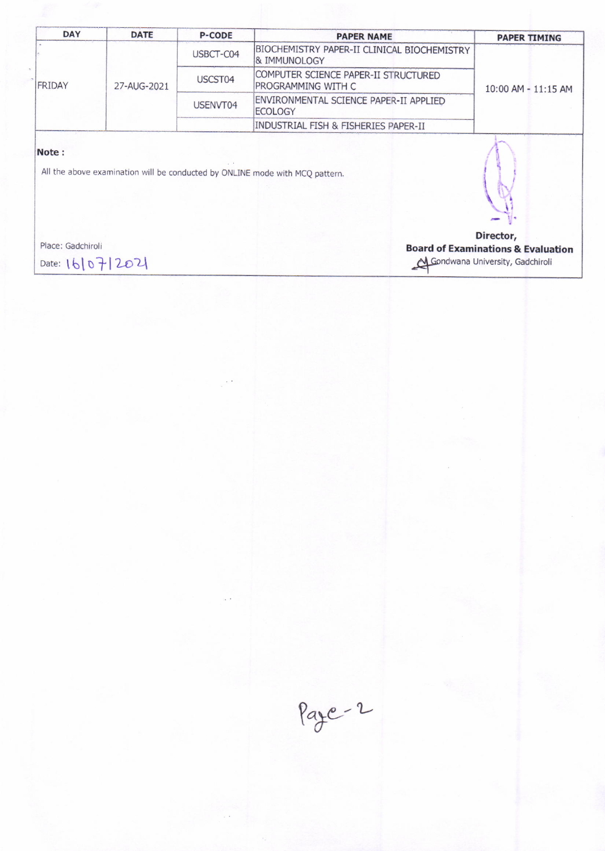| <b>DATE</b> | <b>P-CODE</b> | <b>PAPER NAME</b>                                                      | <b>PAPER TIMING</b> |
|-------------|---------------|------------------------------------------------------------------------|---------------------|
| 27-AUG-2021 | USBCT-C04     | BIOCHEMISTRY PAPER-II CLINICAL BIOCHEMISTRY<br><b>&amp; IMMUNOLOGY</b> | 10:00 AM - 11:15 AM |
|             | USCST04       | COMPUTER SCIENCE PAPER-II STRUCTURED<br>PROGRAMMING WITH C             |                     |
|             | USENVT04      | ENVIRONMENTAL SCIENCE PAPER-II APPLIED<br><b>ECOLOGY</b>               |                     |
|             |               | INDUSTRIAL FISH & FISHERIES PAPER-II                                   |                     |
|             |               |                                                                        |                     |
|             |               |                                                                        |                     |

All the above examination will be conducted by ONLINE mode with MCQ pattern.

Place: Gadchiroli

Date: 16/07/2021

Director, **Board of Examinations & Evaluation** Gondwana University, Gadchiroli

Page-2